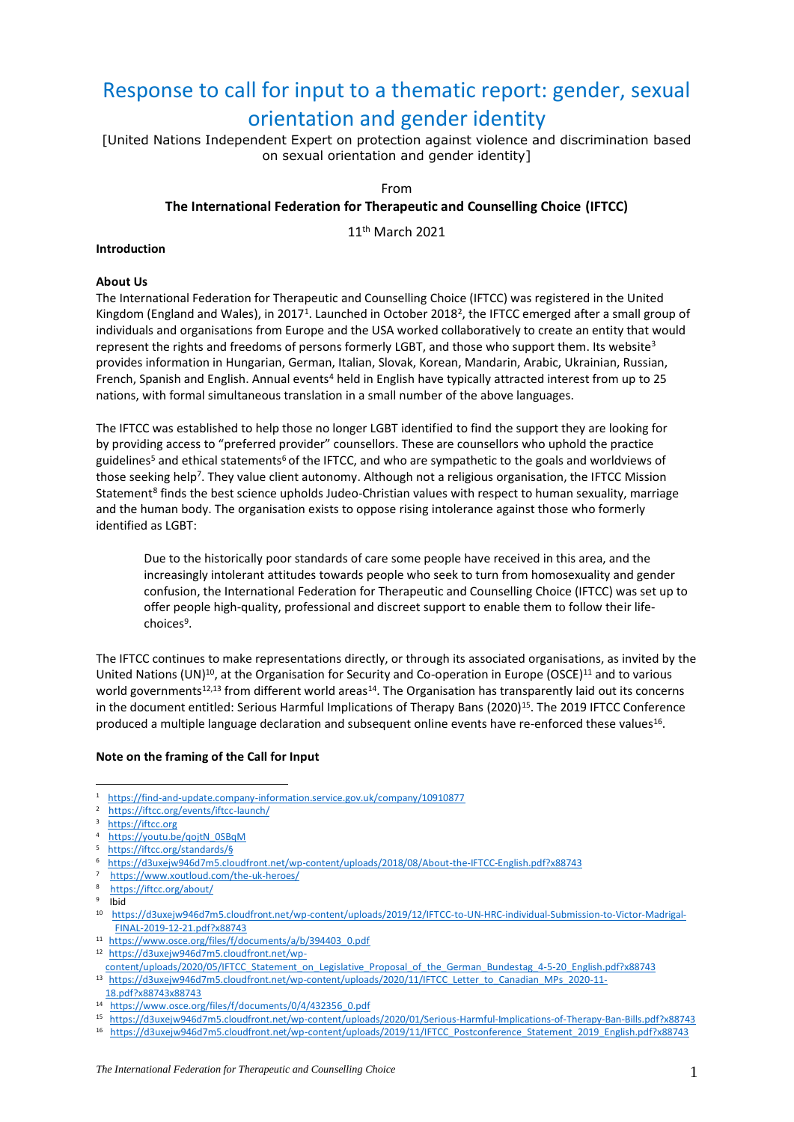# Response to call for input to a thematic report: gender, sexual orientation and gender identity

[United Nations Independent Expert on protection against violence and discrimination based on sexual orientation and gender identity]

# From

# **The International Federation for Therapeutic and Counselling Choice (IFTCC)**

11th March 2021

#### **Introduction**

#### **About Us**

The International Federation for Therapeutic and Counselling Choice (IFTCC) was registered in the United Kingdom (England and Wales), in 2017<sup>1</sup>. Launched in October 2018<sup>2</sup>, the IFTCC emerged after a small group of individuals and organisations from Europe and the USA worked collaboratively to create an entity that would represent the rights and freedoms of persons formerly LGBT, and those who support them. Its website<sup>3</sup> provides information in Hungarian, German, Italian, Slovak, Korean, Mandarin, Arabic, Ukrainian, Russian, French, Spanish and English. Annual events<sup>4</sup> held in English have typically attracted interest from up to 25 nations, with formal simultaneous translation in a small number of the above languages.

The IFTCC was established to help those no longer LGBT identified to find the support they are looking for by providing access to "preferred provider" counsellors. These are counsellors who uphold the practice guidelines<sup>5</sup> and ethical statements<sup>6</sup> of the IFTCC, and who are sympathetic to the goals and worldviews of those seeking help<sup>7</sup>. They value client autonomy. Although not a religious organisation, the IFTCC Mission Statement<sup>8</sup> finds the best science upholds Judeo-Christian values with respect to human sexuality, marriage and the human body. The organisation exists to oppose rising intolerance against those who formerly identified as LGBT:

Due to the historically poor standards of care some people have received in this area, and the increasingly intolerant attitudes towards people who seek to turn from homosexuality and gender confusion, the International Federation for Therapeutic and Counselling Choice (IFTCC) was set up to offer people high-quality, professional and discreet support to enable them to follow their lifechoices<sup>9</sup>.

The IFTCC continues to make representations directly, or through its associated organisations, as invited by the United Nations (UN)<sup>10</sup>, at the Organisation for Security and Co-operation in Europe (OSCE)<sup>11</sup> and to various world governments<sup>12,13</sup> from different world areas<sup>14</sup>. The Organisation has transparently laid out its concerns in the document entitled: [Serious Harmful Implications of Therapy Bans](https://d3uxejw946d7m5.cloudfront.net/wp-content/uploads/2020/01/Serious-Harmful-Implications-of-Therapy-Ban-Bills.pdf?x88743) (2020)<sup>15</sup>. The 2019 IFTCC Conference produced a multiple language declaration and subsequent online events have re-enforced these values<sup>16</sup>.

#### **Note on the framing of the Call for Input**

<sup>5</sup> [https://iftcc.org/standards/§](https://iftcc.org/standards/)

- 8 <https://iftcc.org/about/>
- $9$  Ibid

- 11  [https://www.osce.org/files/f/documents/a/b/394403\\_0.pdf](https://www.osce.org/files/f/documents/a/b/394403_0.pdf)
- 12  [https://d3uxejw946d7m5.cloudfront.net/wp-](https://d3uxejw946d7m5.cloudfront.net/wp-%20content/uploads/2020/05/IFTCC_Statement_on_Legislative_Proposal_of_the_German_Bundestag_4-5-20_English.pdf?x88743)

[content/uploads/2020/05/IFTCC\\_Statement\\_on\\_Legislative\\_Proposal\\_of\\_the\\_German\\_Bundestag\\_4-5-20\\_English.pdf?x88743](https://d3uxejw946d7m5.cloudfront.net/wp-%20content/uploads/2020/05/IFTCC_Statement_on_Legislative_Proposal_of_the_German_Bundestag_4-5-20_English.pdf?x88743) 13 [https://d3uxejw946d7m5.cloudfront.net/wp-content/uploads/2020/11/IFTCC\\_Letter\\_to\\_Canadian\\_MPs\\_2020-11-](https://d3uxejw946d7m5.cloudfront.net/wp-content/uploads/2020/11/IFTCC_Letter_to_Canadian_MPs_2020-11-18.pdf?x88743x88743)

<sup>1</sup> <https://find-and-update.company-information.service.gov.uk/company/10910877>

<sup>2</sup> <https://iftcc.org/events/iftcc-launch/>

<sup>&</sup>lt;sup>3</sup> [https://iftcc.org](https://iftcc.org/)

<sup>4</sup> [https://youtu.be/qojtN\\_0SBqM](https://youtu.be/qojtN_0SBqM)

<sup>6</sup> <https://d3uxejw946d7m5.cloudfront.net/wp-content/uploads/2018/08/About-the-IFTCC-English.pdf?x88743>

<sup>7</sup> <https://www.xoutloud.com/the-uk-heroes/>

<sup>10</sup> [https://d3uxejw946d7m5.cloudfront.net/wp-content/uploads/2019/12/IFTCC-to-UN-HRC-individual-Submission-to-Victor-Madrigal-](https://d3uxejw946d7m5.cloudfront.net/wp-content/uploads/2019/12/IFTCC-to-UN-HRC-individual-Submission-to-Victor-Madrigal-%20%20FINAL-2019-12-21.pdf?x88743)[FINAL-2019-12-21.pdf?x88743](https://d3uxejw946d7m5.cloudfront.net/wp-content/uploads/2019/12/IFTCC-to-UN-HRC-individual-Submission-to-Victor-Madrigal-%20%20FINAL-2019-12-21.pdf?x88743)

[<sup>18.</sup>pdf?x88743x88743](https://d3uxejw946d7m5.cloudfront.net/wp-content/uploads/2020/11/IFTCC_Letter_to_Canadian_MPs_2020-11-18.pdf?x88743x88743) 14 [https://www.osce.org/files/f/documents/0/4/432356\\_0.pdf](https://www.osce.org/files/f/documents/0/4/432356_0.pdf)

<sup>15</sup> <https://d3uxejw946d7m5.cloudfront.net/wp-content/uploads/2020/01/Serious-Harmful-Implications-of-Therapy-Ban-Bills.pdf?x88743>

<sup>16</sup> [https://d3uxejw946d7m5.cloudfront.net/wp-content/uploads/2019/11/IFTCC\\_Postconference\\_Statement\\_2019\\_English.pdf?x88743](https://d3uxejw946d7m5.cloudfront.net/wp-content/uploads/2019/11/IFTCC_Postconference_Statement_2019_English.pdf?x88743)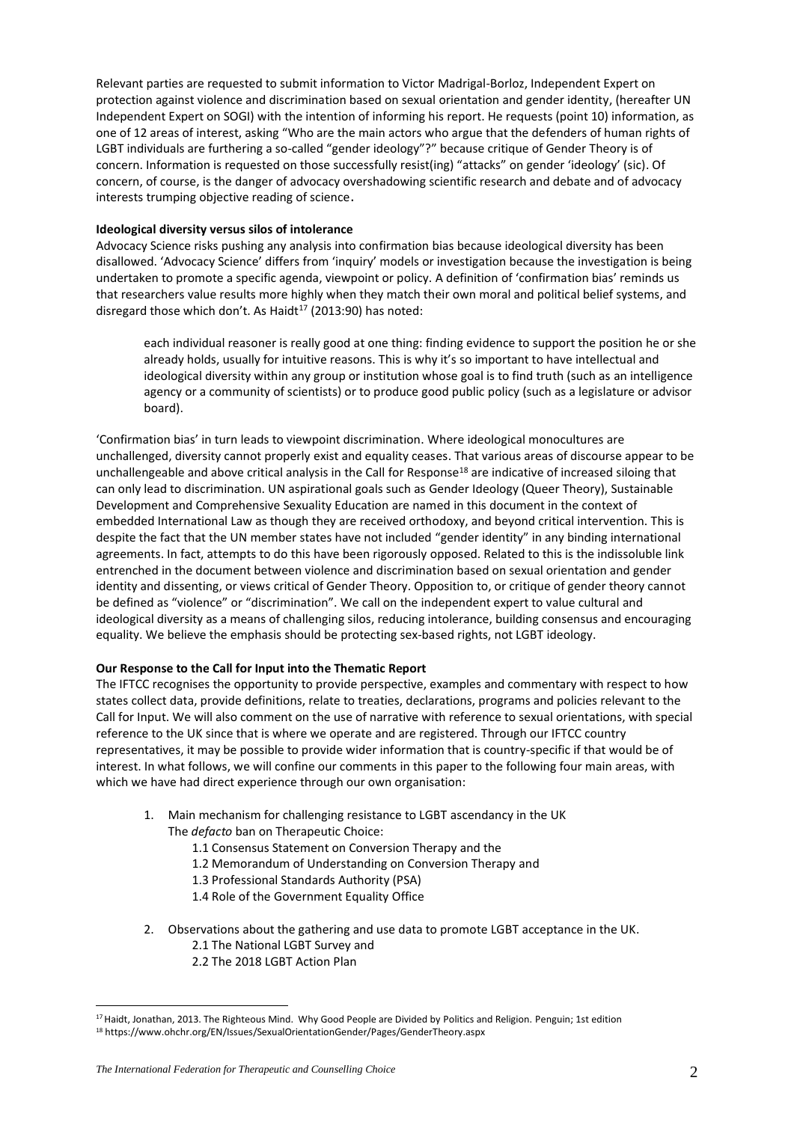Relevant parties are requested to submit information to Victor Madrigal-Borloz, Independent Expert on protection against violence and discrimination based on sexual orientation and gender identity, (hereafter UN Independent Expert on SOGI) with the intention of informing his report. He requests (point 10) information, as one of 12 areas of interest, asking "Who are the main actors who argue that the defenders of human rights of LGBT individuals are furthering a so-called "gender ideology"?" because critique of Gender Theory is of concern. Information is requested on those successfully resist(ing) "attacks" on gender 'ideology' (sic). Of concern, of course, is the danger of advocacy overshadowing scientific research and debate and of advocacy interests trumping objective reading of science.

#### **Ideological diversity versus silos of intolerance**

Advocacy Science risks pushing any analysis into confirmation bias because ideological diversity has been disallowed. 'Advocacy Science' differs from 'inquiry' models or investigation because the investigation is being undertaken to promote a specific agenda, viewpoint or policy. A definition of 'confirmation bias' reminds us that researchers value results more highly when they match their own moral and political belief systems, and disregard those which don't. As Haidt<sup>17</sup> (2013:90) has noted:

each individual reasoner is really good at one thing: finding evidence to support the position he or she already holds, usually for intuitive reasons. This is why it's so important to have intellectual and ideological diversity within any group or institution whose goal is to find truth (such as an intelligence agency or a community of scientists) or to produce good public policy (such as a legislature or advisor board).

'Confirmation bias' in turn leads to viewpoint discrimination. Where ideological monocultures are unchallenged, diversity cannot properly exist and equality ceases. That various areas of discourse appear to be unchallengeable and above critical analysis in the Call for Response<sup>18</sup> are indicative of increased siloing that can only lead to discrimination. UN aspirational goals such as Gender Ideology (Queer Theory), Sustainable Development and Comprehensive Sexuality Education are named in this document in the context of embedded International Law as though they are received orthodoxy, and beyond critical intervention. This is despite the fact that the UN member states have not included "gender identity" in any binding international agreements. In fact, attempts to do this have been rigorously opposed. Related to this is the indissoluble link entrenched in the document between violence and discrimination based on sexual orientation and gender identity and dissenting, or views critical of Gender Theory. Opposition to, or critique of gender theory cannot be defined as "violence" or "discrimination". We call on the independent expert to value cultural and ideological diversity as a means of challenging silos, reducing intolerance, building consensus and encouraging equality. We believe the emphasis should be protecting sex-based rights, not LGBT ideology.

# **Our Response to the Call for Input into the Thematic Report**

The IFTCC recognises the opportunity to provide perspective, examples and commentary with respect to how states collect data, provide definitions, relate to treaties, declarations, programs and policies relevant to the Call for Input. We will also comment on the use of narrative with reference to sexual orientations, with special reference to the UK since that is where we operate and are registered. Through our IFTCC country representatives, it may be possible to provide wider information that is country-specific if that would be of interest. In what follows, we will confine our comments in this paper to the following four main areas, with which we have had direct experience through our own organisation:

- 1. Main mechanism for challenging resistance to LGBT ascendancy in the UK The *defacto* ban on Therapeutic Choice:
	- 1.1 Consensus Statement on Conversion Therapy and the
	- 1.2 Memorandum of Understanding on Conversion Therapy and
	- 1.3 Professional Standards Authority (PSA)
	- 1.4 Role of the Government Equality Office
- 2. Observations about the gathering and use data to promote LGBT acceptance in the UK. 2.1 The National LGBT Survey and
	- 2.2 The 2018 LGBT Action Plan

<sup>&</sup>lt;sup>17</sup> Haidt, Jonathan, 2013. The Righteous Mind. Why Good People are Divided by Politics and Religion. Penguin; 1st edition <sup>18</sup> https://www.ohchr.org/EN/Issues/SexualOrientationGender/Pages/GenderTheory.aspx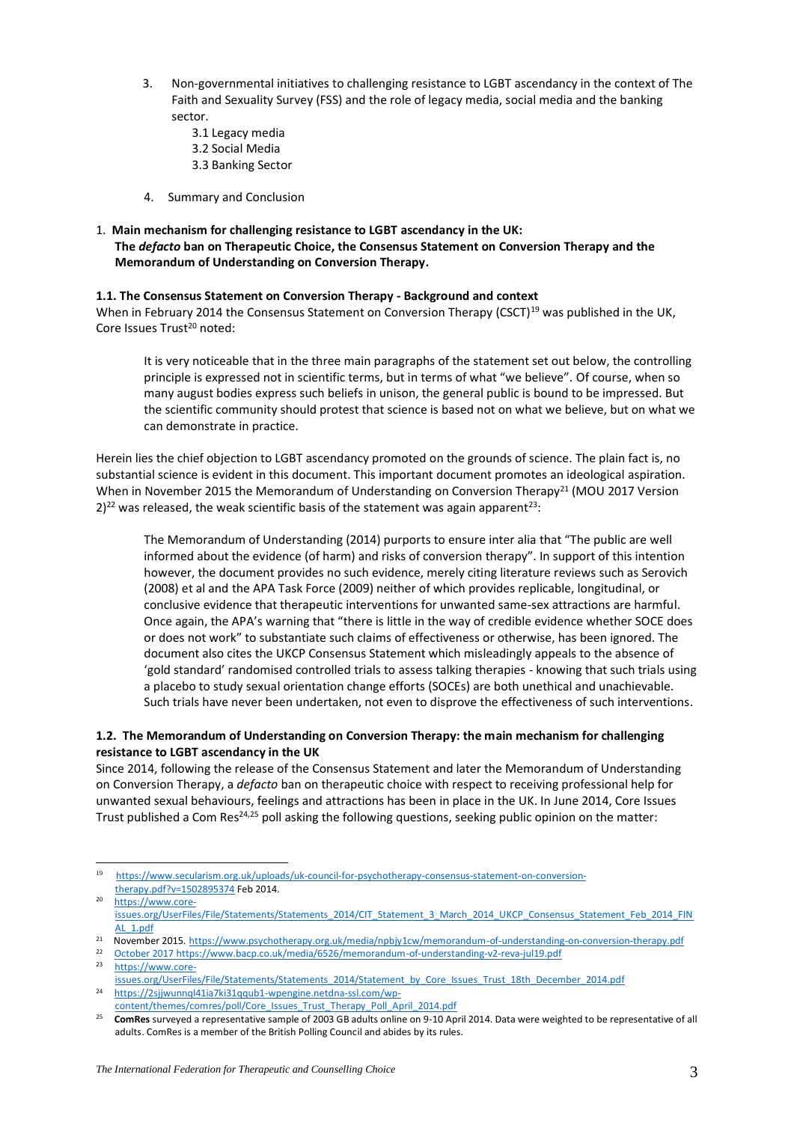- 3. Non-governmental initiatives to challenging resistance to LGBT ascendancy in the context of The Faith and Sexuality Survey (FSS) and the role of legacy media, social media and the banking sector.
	- 3.1 Legacy media
	- 3.2 Social Media
	- 3.3 Banking Sector
- 4. Summary and Conclusion

# 1. **Main mechanism for challenging resistance to LGBT ascendancy in the UK: The** *defacto* **ban on Therapeutic Choice, the Consensus Statement on Conversion Therapy and the Memorandum of Understanding on Conversion Therapy.**

# **1.1. The Consensus Statement on Conversion Therapy - Background and context**

When in February 2014 the Consensus Statement on Conversion Therapy (CSCT)<sup>19</sup> was published in the UK, Core Issues Trust<sup>20</sup> noted:

It is very noticeable that in the three main paragraphs of the statement set out below, the controlling principle is expressed not in scientific terms, but in terms of what "we believe". Of course, when so many august bodies express such beliefs in unison, the general public is bound to be impressed. But the scientific community should protest that science is based not on what we believe, but on what we can demonstrate in practice.

Herein lies the chief objection to LGBT ascendancy promoted on the grounds of science. The plain fact is, no substantial science is evident in this document. This important document promotes an ideological aspiration. When in November 2015 the Memorandum of Understanding on Conversion Therapy<sup>21</sup> (MOU 2017 Version  $2)^{22}$  was released, the weak scientific basis of the statement was again apparent<sup>23</sup>:

The Memorandum of Understanding (2014) purports to ensure inter alia that "The public are well informed about the evidence (of harm) and risks of conversion therapy". In support of this intention however, the document provides no such evidence, merely citing literature reviews such as Serovich (2008) et al and the APA Task Force (2009) neither of which provides replicable, longitudinal, or conclusive evidence that therapeutic interventions for unwanted same-sex attractions are harmful. Once again, the APA's warning that "there is little in the way of credible evidence whether SOCE does or does not work" to substantiate such claims of effectiveness or otherwise, has been ignored. The document also cites the UKCP Consensus Statement which misleadingly appeals to the absence of 'gold standard' randomised controlled trials to assess talking therapies - knowing that such trials using a placebo to study sexual orientation change efforts (SOCEs) are both unethical and unachievable. Such trials have never been undertaken, not even to disprove the effectiveness of such interventions.

# **1.2. The Memorandum of Understanding on Conversion Therapy: the main mechanism for challenging resistance to LGBT ascendancy in the UK**

Since 2014, following the release of the Consensus Statement and later the Memorandum of Understanding on Conversion Therapy, a *defacto* ban on therapeutic choice with respect to receiving professional help for unwanted sexual behaviours, feelings and attractions has been in place in the UK. In June 2014, Core Issues Trust published a Com Res<sup>24,25</sup> poll asking the following questions, seeking public opinion on the matter:

<sup>19</sup> [https://www.secularism.org.uk/uploads/uk-council-for-psychotherapy-consensus-statement-on-conversion](https://www.secularism.org.uk/uploads/uk-council-for-psychotherapy-consensus-statement-on-conversion-therapy.pdf?v=1502895374)[therapy.pdf?v=1502895374](https://www.secularism.org.uk/uploads/uk-council-for-psychotherapy-consensus-statement-on-conversion-therapy.pdf?v=1502895374) Feb 2014.

<sup>20</sup> [https://www.core](https://www.core-issues.org/UserFiles/File/Statements/Statements_2014/CIT_Statement_3_March_2014_UKCP_Consensus_Statement_Feb_2014_FINAL_1.pdf)[issues.org/UserFiles/File/Statements/Statements\\_2014/CIT\\_Statement\\_3\\_March\\_2014\\_UKCP\\_Consensus\\_Statement\\_Feb\\_2014\\_FIN](https://www.core-issues.org/UserFiles/File/Statements/Statements_2014/CIT_Statement_3_March_2014_UKCP_Consensus_Statement_Feb_2014_FINAL_1.pdf) [AL\\_1.pdf](https://www.core-issues.org/UserFiles/File/Statements/Statements_2014/CIT_Statement_3_March_2014_UKCP_Consensus_Statement_Feb_2014_FINAL_1.pdf)

<sup>&</sup>lt;sup>21</sup> November 2015. <https://www.psychotherapy.org.uk/media/npbjy1cw/memorandum-of-understanding-on-conversion-therapy.pdf>

<sup>22</sup> [October 2017 https://www.bacp.co.uk/media/6526/memorandum-of-understanding-v2-reva-jul19.pdf](/var/folders/8j/7xpqpffd3dg6jh_xlscchpjw0000gn/T/com.apple.mail/com.apple.mail/compose/attach/October%202017%20https:/www.bacp.co.uk/media/6526/memorandum-of-understanding-v2-reva-jul19.pdf)

<sup>23</sup> [https://www.core](https://www.core-issues.org/UserFiles/File/Statements/Statements_2014/Statement_by_Core_Issues_Trust_18th_December_2014.pdf)[issues.org/UserFiles/File/Statements/Statements\\_2014/Statement\\_by\\_Core\\_Issues\\_Trust\\_18th\\_December\\_2014.pdf](https://www.core-issues.org/UserFiles/File/Statements/Statements_2014/Statement_by_Core_Issues_Trust_18th_December_2014.pdf)

<sup>24</sup> [https://2sjjwunnql41ia7ki31qqub1-wpengine.netdna-ssl.com/wp](https://2sjjwunnql41ia7ki31qqub1-wpengine.netdna-ssl.com/wp-content/themes/comres/poll/Core_Issues_Trust_Therapy_Poll_April_2014.pdf)[content/themes/comres/poll/Core\\_Issues\\_Trust\\_Therapy\\_Poll\\_April\\_2014.pdf](https://2sjjwunnql41ia7ki31qqub1-wpengine.netdna-ssl.com/wp-content/themes/comres/poll/Core_Issues_Trust_Therapy_Poll_April_2014.pdf)

<sup>25</sup> **ComRes** surveyed a representative sample of 2003 GB adults online on 9-10 April 2014. Data were weighted to be representative of all adults. ComRes is a member of the British Polling Council and abides by its rules.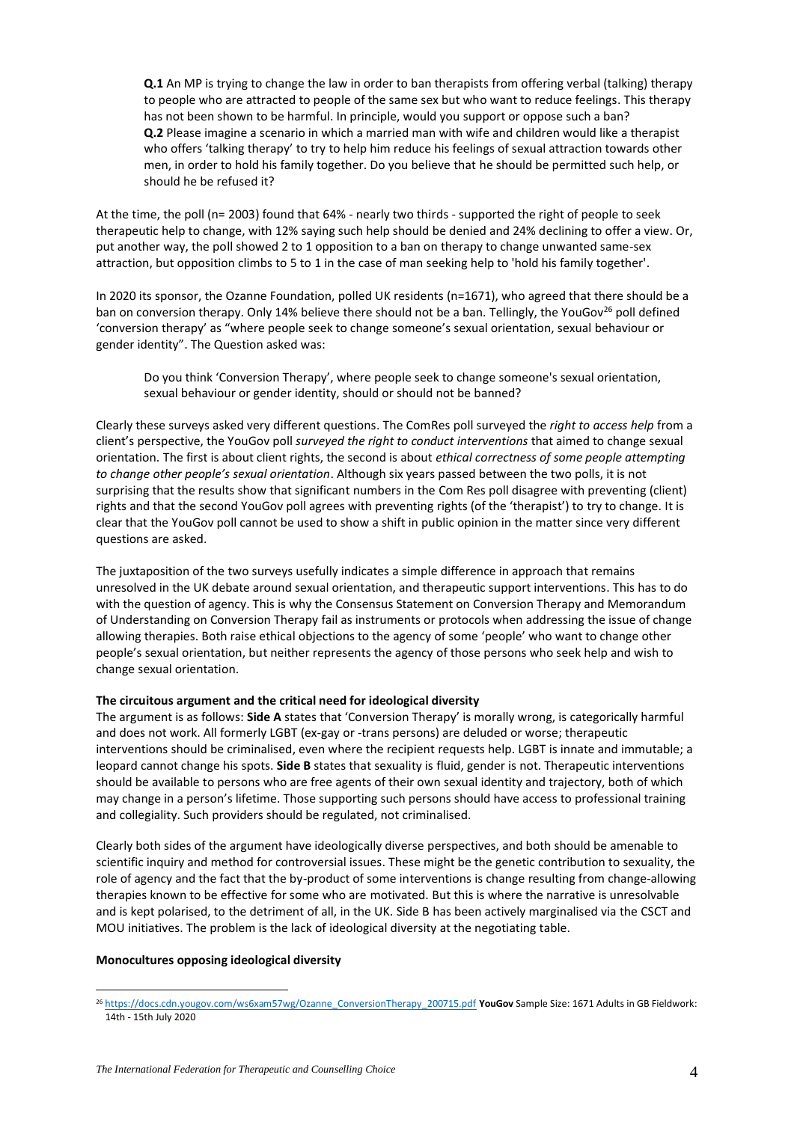**Q.1** An MP is trying to change the law in order to ban therapists from offering verbal (talking) therapy to people who are attracted to people of the same sex but who want to reduce feelings. This therapy has not been shown to be harmful. In principle, would you support or oppose such a ban? **Q.2** Please imagine a scenario in which a married man with wife and children would like a therapist who offers 'talking therapy' to try to help him reduce his feelings of sexual attraction towards other men, in order to hold his family together. Do you believe that he should be permitted such help, or should he be refused it?

At the time, the poll (n= 2003) found that 64% - nearly two thirds - supported the right of people to seek therapeutic help to change, with 12% saying such help should be denied and 24% declining to offer a view. Or, put another way, the poll showed 2 to 1 opposition to a ban on therapy to change unwanted same-sex attraction, but opposition climbs to 5 to 1 in the case of man seeking help to 'hold his family together'.

In 2020 its sponsor, the Ozanne Foundation, polled UK residents (n=1671), who agreed that there should be a ban on conversion therapy. Only 14% believe there should not be a ban. Tellingly, the YouGov<sup>26</sup> poll defined 'conversion therapy' as "where people seek to change someone's sexual orientation, sexual behaviour or gender identity". The Question asked was:

Do you think 'Conversion Therapy', where people seek to change someone's sexual orientation, sexual behaviour or gender identity, should or should not be banned?

Clearly these surveys asked very different questions. The ComRes poll surveyed the *right to access help* from a client's perspective, the YouGov poll *surveyed the right to conduct interventions* that aimed to change sexual orientation. The first is about client rights, the second is about *ethical correctness of some people attempting to change other people's sexual orientation*. Although six years passed between the two polls, it is not surprising that the results show that significant numbers in the Com Res poll disagree with preventing (client) rights and that the second YouGov poll agrees with preventing rights (of the 'therapist') to try to change. It is clear that the YouGov poll cannot be used to show a shift in public opinion in the matter since very different questions are asked.

The juxtaposition of the two surveys usefully indicates a simple difference in approach that remains unresolved in the UK debate around sexual orientation, and therapeutic support interventions. This has to do with the question of agency. This is why the Consensus Statement on Conversion Therapy and Memorandum of Understanding on Conversion Therapy fail as instruments or protocols when addressing the issue of change allowing therapies. Both raise ethical objections to the agency of some 'people' who want to change other people's sexual orientation, but neither represents the agency of those persons who seek help and wish to change sexual orientation.

# **The circuitous argument and the critical need for ideological diversity**

The argument is as follows: **Side A** states that 'Conversion Therapy' is morally wrong, is categorically harmful and does not work. All formerly LGBT (ex-gay or -trans persons) are deluded or worse; therapeutic interventions should be criminalised, even where the recipient requests help. LGBT is innate and immutable; a leopard cannot change his spots. **Side B** states that sexuality is fluid, gender is not. Therapeutic interventions should be available to persons who are free agents of their own sexual identity and trajectory, both of which may change in a person's lifetime. Those supporting such persons should have access to professional training and collegiality. Such providers should be regulated, not criminalised.

Clearly both sides of the argument have ideologically diverse perspectives, and both should be amenable to scientific inquiry and method for controversial issues. These might be the genetic contribution to sexuality, the role of agency and the fact that the by-product of some interventions is change resulting from change-allowing therapies known to be effective for some who are motivated. But this is where the narrative is unresolvable and is kept polarised, to the detriment of all, in the UK. Side B has been actively marginalised via the CSCT and MOU initiatives. The problem is the lack of ideological diversity at the negotiating table.

#### **Monocultures opposing ideological diversity**

<sup>26</sup> [https://docs.cdn.yougov.com/ws6xam57wg/Ozanne\\_ConversionTherapy\\_200715.pdf](https://docs.cdn.yougov.com/ws6xam57wg/Ozanne_ConversionTherapy_200715.pdf) **YouGov** Sample Size: 1671 Adults in GB Fieldwork: 14th - 15th July 2020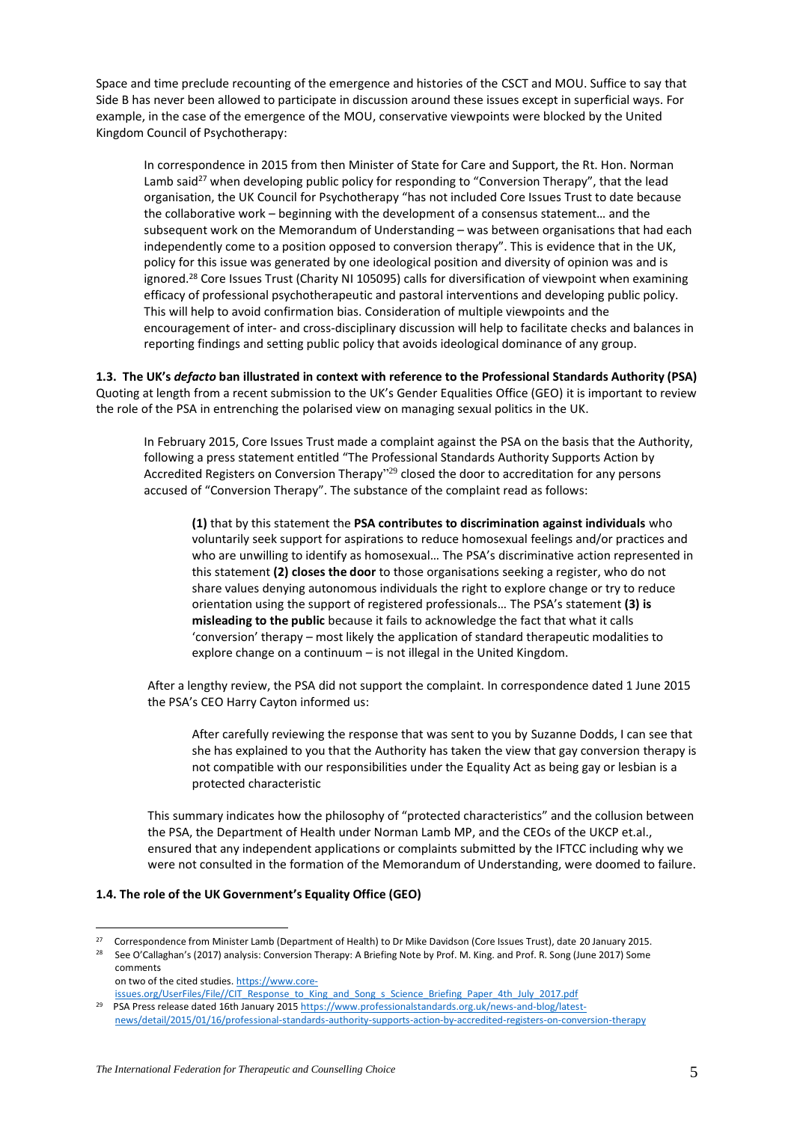Space and time preclude recounting of the emergence and histories of the CSCT and MOU. Suffice to say that Side B has never been allowed to participate in discussion around these issues except in superficial ways. For example, in the case of the emergence of the MOU, conservative viewpoints were blocked by the United Kingdom Council of Psychotherapy:

In correspondence in 2015 from then Minister of State for Care and Support, the Rt. Hon. Norman Lamb said<sup>27</sup> when developing public policy for responding to "Conversion Therapy", that the lead organisation, the UK Council for Psychotherapy "has not included Core Issues Trust to date because the collaborative work – beginning with the development of a consensus statement… and the subsequent work on the Memorandum of Understanding – was between organisations that had each independently come to a position opposed to conversion therapy". This is evidence that in the UK, policy for this issue was generated by one ideological position and diversity of opinion was and is ignored.<sup>28</sup> Core Issues Trust (Charity NI 105095) calls for diversification of viewpoint when examining efficacy of professional psychotherapeutic and pastoral interventions and developing public policy. This will help to avoid confirmation bias. Consideration of multiple viewpoints and the encouragement of inter- and cross-disciplinary discussion will help to facilitate checks and balances in reporting findings and setting public policy that avoids ideological dominance of any group.

**1.3. The UK's** *defacto* **ban illustrated in context with reference to the Professional Standards Authority (PSA)** Quoting at length from a recent submission to the UK's Gender Equalities Office (GEO) it is important to review the role of the PSA in entrenching the polarised view on managing sexual politics in the UK.

In February 2015, Core Issues Trust made a complaint against the PSA on the basis that the Authority, following a press statement entitled "The Professional Standards Authority Supports Action by Accredited Registers on Conversion Therapy<sup>129</sup> closed the door to accreditation for any persons accused of "Conversion Therapy". The substance of the complaint read as follows:

**(1)** that by this statement the **PSA contributes to discrimination against individuals** who voluntarily seek support for aspirations to reduce homosexual feelings and/or practices and who are unwilling to identify as homosexual… The PSA's discriminative action represented in this statement **(2) closes the door** to those organisations seeking a register, who do not share values denying autonomous individuals the right to explore change or try to reduce orientation using the support of registered professionals… The PSA's statement **(3) is misleading to the public** because it fails to acknowledge the fact that what it calls 'conversion' therapy – most likely the application of standard therapeutic modalities to explore change on a continuum – is not illegal in the United Kingdom.

After a lengthy review, the PSA did not support the complaint. In correspondence dated 1 June 2015 the PSA's CEO Harry Cayton informed us:

After carefully reviewing the response that was sent to you by Suzanne Dodds, I can see that she has explained to you that the Authority has taken the view that gay conversion therapy is not compatible with our responsibilities under the Equality Act as being gay or lesbian is a protected characteristic

This summary indicates how the philosophy of "protected characteristics" and the collusion between the PSA, the Department of Health under Norman Lamb MP, and the CEOs of the UKCP et.al., ensured that any independent applications or complaints submitted by the IFTCC including why we were not consulted in the formation of the Memorandum of Understanding, were doomed to failure.

# **1.4. The role of the UK Government's Equality Office (GEO)**

 on two of the cited studies[. https://www.core](https://www.core-issues.org/UserFiles/File/CIT_Response_to_King_and_Song_s_Science_Briefing_Paper_4th_July_2017.pdf)[issues.org/UserFiles/File//CIT\\_Response\\_to\\_King\\_and\\_Song\\_s\\_Science\\_Briefing\\_Paper\\_4th\\_July\\_2017.pdf](https://www.core-issues.org/UserFiles/File/CIT_Response_to_King_and_Song_s_Science_Briefing_Paper_4th_July_2017.pdf)

<sup>&</sup>lt;sup>27</sup> Correspondence from Minister Lamb (Department of Health) to Dr Mike Davidson (Core Issues Trust), date 20 January 2015.

<sup>&</sup>lt;sup>28</sup> See O'Callaghan's (2017) analysis: Conversion Therapy: A Briefing Note by Prof. M. King. and Prof. R. Song (June 2017) Some comments

<sup>&</sup>lt;sup>29</sup> PSA Press release dated 16th January 2015 [https://www.professionalstandards.org.uk/news-and-blog/latest](https://www.professionalstandards.org.uk/news-and-blog/latest-news/detail/2015/01/16/professional-standards-authority-supports-action-by-accredited-registers-on-conversion-therapy)[news/detail/2015/01/16/professional-standards-authority-supports-action-by-accredited-registers-on-conversion-therapy](https://www.professionalstandards.org.uk/news-and-blog/latest-news/detail/2015/01/16/professional-standards-authority-supports-action-by-accredited-registers-on-conversion-therapy)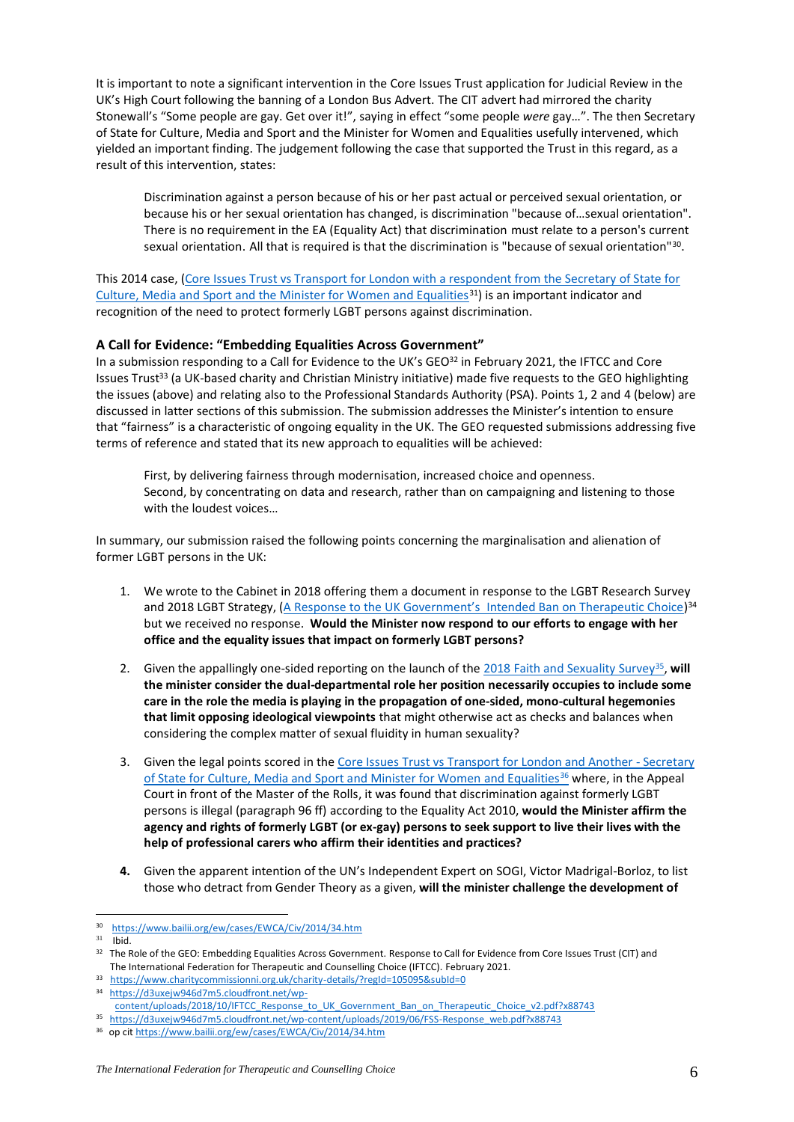It is important to note a significant intervention in the Core Issues Trust application for Judicial Review in the UK's High Court following the banning of a London Bus Advert. The CIT advert had mirrored the charity Stonewall's "Some people are gay. Get over it!", saying in effect "some people *were* gay…". The then Secretary of State for Culture, Media and Sport and the Minister for Women and Equalities usefully intervened, which yielded an important finding. The judgement following the case that supported the Trust in this regard, as a result of this intervention, states:

Discrimination against a person because of his or her past actual or perceived sexual orientation, or because his or her sexual orientation has changed, is discrimination "because of…sexual orientation". There is no requirement in the EA (Equality Act) that discrimination must relate to a person's current sexual orientation. All that is required is that the discrimination is "because of sexual orientation"<sup>30</sup>.

This 2014 case, (Core Issues Trust vs Transport for London with a respondent from the Secretary of State for [Culture, Media and Sport and the Minister for Women and Equalities](https://www.bailii.org/ew/cases/EWCA/Civ/2014/34.htm) $31$ ) is an important indicator and recognition of the need to protect formerly LGBT persons against discrimination.

# **A Call for Evidence: "Embedding Equalities Across Government"**

In a submission responding to a Call for Evidence to the UK's GEO32 in February 2021, the IFTCC and Core Issues Trust<sup>33</sup> (a UK-based charity and Christian Ministry initiative) made five requests to the GEO highlighting the issues (above) and relating also to the Professional Standards Authority (PSA). Points 1, 2 and 4 (below) are discussed in latter sections of this submission. The submission addresses the Minister's intention to ensure that "fairness" is a characteristic of ongoing equality in the UK. The GEO requested submissions addressing five terms of reference and stated that its new approach to equalities will be achieved:

First, by delivering fairness through modernisation, increased choice and openness. Second, by concentrating on data and research, rather than on campaigning and listening to those with the loudest voices…

In summary, our submission raised the following points concerning the marginalisation and alienation of former LGBT persons in the UK:

- 1. We wrote to the Cabinet in 2018 offering them a document in response to the LGBT Research Survey and 2018 LGBT Strategy, ([A Response to the UK Government's Intended Ban on Therapeutic Choice](https://d3uxejw946d7m5.cloudfront.net/wp-content/uploads/2018/10/IFTCC_Response_to_UK_Government_Ban_on_Therapeutic_Choice_v2.pdf?x88743))<sup>34</sup> but we received no response. **Would the Minister now respond to our efforts to engage with her office and the equality issues that impact on formerly LGBT persons?**
- 2. Given the appallingly one-sided reporting on the launch of th[e 2018 Faith and Sexuality Survey](https://d3uxejw946d7m5.cloudfront.net/wp-content/uploads/2019/06/FSS-Response_web.pdf?x88743)<sup>35</sup>, will **the minister consider the dual-departmental role her position necessarily occupies to include some care in the role the media is playing in the propagation of one-sided, mono-cultural hegemonies that limit opposing ideological viewpoints** that might otherwise act as checks and balances when considering the complex matter of sexual fluidity in human sexuality?
- 3. Given the legal points scored in the [Core Issues Trust vs Transport for London and Another -](https://www.bailii.org/ew/cases/EWCA/Civ/2014/34.htm) Secretary [of State for Culture, Media and Sport and Minister for Women and Equalities](https://www.bailii.org/ew/cases/EWCA/Civ/2014/34.htm)<sup>36</sup> where, in the Appeal Court in front of the Master of the Rolls, it was found that discrimination against formerly LGBT persons is illegal (paragraph 96 ff) according to the Equality Act 2010, **would the Minister affirm the agency and rights of formerly LGBT (or ex-gay) persons to seek support to live their lives with the help of professional carers who affirm their identities and practices?**
- **4.** Given the apparent intention of the UN's Independent Expert on SOGI, Victor Madrigal-Borloz, to list those who detract from Gender Theory as a given, **will the minister challenge the development of**

- 33 <https://www.charitycommissionni.org.uk/charity-details/?regId=105095&subId=0>
- 34 [https://d3uxejw946d7m5.cloudfront.net/wp-](https://d3uxejw946d7m5.cloudfront.net/wp-content/uploads/2018/10/IFTCC_Response_to_UK_Government_Ban_on_Therapeutic_Choice_v2.pdf?x88743)

<sup>30</sup> <https://www.bailii.org/ew/cases/EWCA/Civ/2014/34.htm>

 $31$  Ibid.

<sup>&</sup>lt;sup>32</sup> The Role of the GEO: Embedding Equalities Across Government. Response to Call for Evidence from Core Issues Trust (CIT) and The International Federation for Therapeutic and Counselling Choice (IFTCC). February 2021.

[content/uploads/2018/10/IFTCC\\_Response\\_to\\_UK\\_Government\\_Ban\\_on\\_Therapeutic\\_Choice\\_v2.pdf?x88743](https://d3uxejw946d7m5.cloudfront.net/wp-content/uploads/2018/10/IFTCC_Response_to_UK_Government_Ban_on_Therapeutic_Choice_v2.pdf?x88743)

<sup>35</sup>  [https://d3uxejw946d7m5.cloudfront.net/wp-content/uploads/2019/06/FSS-Response\\_web.pdf?x88743](https://d3uxejw946d7m5.cloudfront.net/wp-content/uploads/2019/06/FSS-Response_web.pdf?x88743)

<sup>36</sup> op ci[t https://www.bailii.org/ew/cases/EWCA/Civ/2014/34.htm](https://www.bailii.org/ew/cases/EWCA/Civ/2014/34.htm)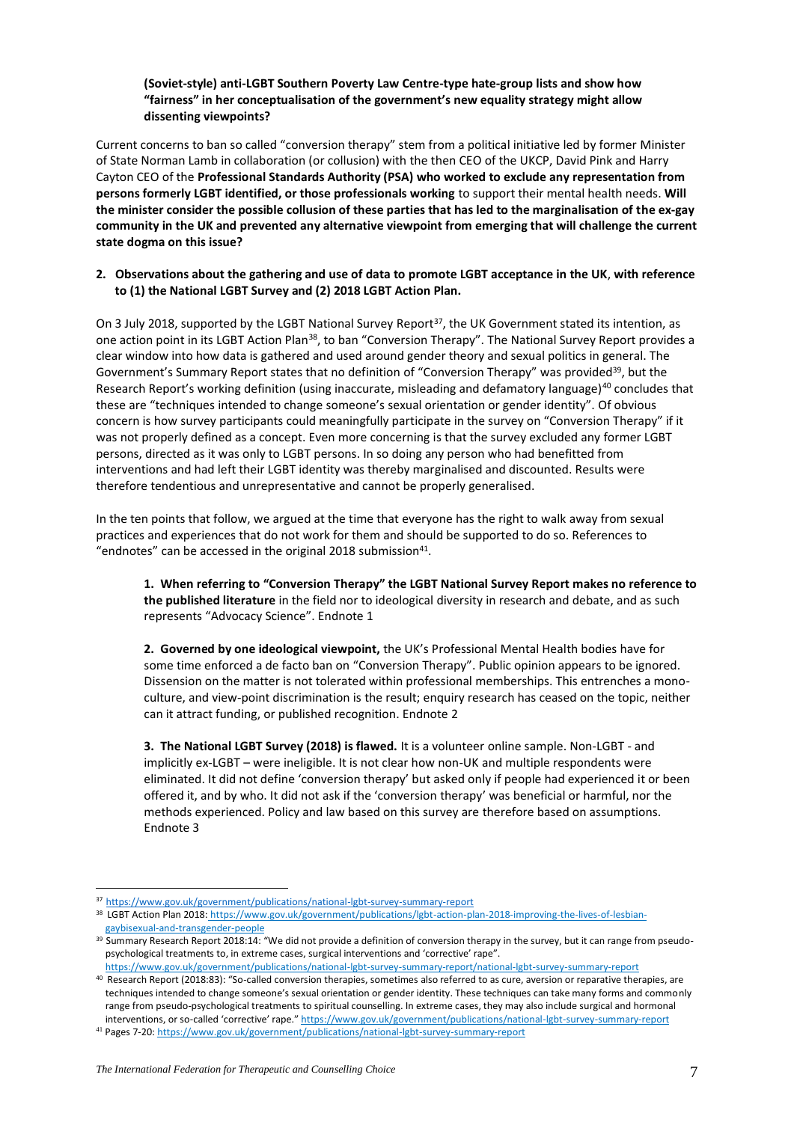# **(Soviet-style) anti-LGBT Southern Poverty Law Centre-type hate-group lists and show how "fairness" in her conceptualisation of the government's new equality strategy might allow dissenting viewpoints?**

Current concerns to ban so called "conversion therapy" stem from a political initiative led by former Minister of State Norman Lamb in collaboration (or collusion) with the then CEO of the UKCP, David Pink and Harry Cayton CEO of the **Professional Standards Authority (PSA) who worked to exclude any representation from persons formerly LGBT identified, or those professionals working** to support their mental health needs. **Will the minister consider the possible collusion of these parties that has led to the marginalisation of the ex-gay community in the UK and prevented any alternative viewpoint from emerging that will challenge the current state dogma on this issue?**

# **2. Observations about the gathering and use of data to promote LGBT acceptance in the UK**, **with reference to (1) the National LGBT Survey and (2) 2018 LGBT Action Plan.**

On 3 July 2018, supported by the LGBT National Survey Report<sup>37</sup>, the UK Government stated its intention, as one action point in its LGBT Action Plan<sup>38</sup>, to ban "Conversion Therapy". The National Survey Report provides a clear window into how data is gathered and used around gender theory and sexual politics in general. The Government's Summary Report states that no definition of "Conversion Therapy" was provided<sup>39</sup>, but the Research Report's working definition (using inaccurate, misleading and defamatory language)<sup>40</sup> concludes that these are "techniques intended to change someone's sexual orientation or gender identity". Of obvious concern is how survey participants could meaningfully participate in the survey on "Conversion Therapy" if it was not properly defined as a concept. Even more concerning is that the survey excluded any former LGBT persons, directed as it was only to LGBT persons. In so doing any person who had benefitted from interventions and had left their LGBT identity was thereby marginalised and discounted. Results were therefore tendentious and unrepresentative and cannot be properly generalised.

In the ten points that follow, we argued at the time that everyone has the right to walk away from sexual practices and experiences that do not work for them and should be supported to do so. References to "endnotes" can be accessed in the original 2018 submission $41$ .

**1. When referring to "Conversion Therapy" the LGBT National Survey Report makes no reference to the published literature** in the field nor to ideological diversity in research and debate, and as such represents "Advocacy Science". Endnote 1

**2. Governed by one ideological viewpoint,** the UK's Professional Mental Health bodies have for some time enforced a de facto ban on "Conversion Therapy". Public opinion appears to be ignored. Dissension on the matter is not tolerated within professional memberships. This entrenches a monoculture, and view-point discrimination is the result; enquiry research has ceased on the topic, neither can it attract funding, or published recognition. Endnote 2

**3. The National LGBT Survey (2018) is flawed.** It is a volunteer online sample. Non-LGBT - and implicitly ex-LGBT – were ineligible. It is not clear how non-UK and multiple respondents were eliminated. It did not define 'conversion therapy' but asked only if people had experienced it or been offered it, and by who. It did not ask if the 'conversion therapy' was beneficial or harmful, nor the methods experienced. Policy and law based on this survey are therefore based on assumptions. Endnote 3

<sup>41</sup> Pages 7-20[: https://www.gov.uk/government/publications/national-lgbt-survey-summary-report](https://www.gov.uk/government/publications/national-lgbt-survey-summary-report)

<sup>37</sup> <https://www.gov.uk/government/publications/national-lgbt-survey-summary-report>

<sup>38</sup> LGBT Action Plan 2018: [https://www.gov.uk/government/publications/lgbt-action-plan-2018-improving-the-lives-of-lesbian](https://www.gov.uk/government/publications/lgbt-action-plan-2018-improving-the-lives-of-lesbian-gaybisexual-and-transgender-people)[gaybisexual-and-transgender-people](https://www.gov.uk/government/publications/lgbt-action-plan-2018-improving-the-lives-of-lesbian-gaybisexual-and-transgender-people)

<sup>&</sup>lt;sup>39</sup> Summary Research Report 2018:14: "We did not provide a definition of conversion therapy in the survey, but it can range from pseudopsychological treatments to, in extreme cases, surgical interventions and 'corrective' rape".

<https://www.gov.uk/government/publications/national-lgbt-survey-summary-report/national-lgbt-survey-summary-report> <sup>40</sup> Research Report (2018:83): "So-called conversion therapies, sometimes also referred to as cure, aversion or reparative therapies, are techniques intended to change someone's sexual orientation or gender identity. These techniques can take many forms and commonly range from pseudo-psychological treatments to spiritual counselling. In extreme cases, they may also include surgical and hormonal interventions, or so-called 'corrective' rape." https://www.gov.uk/government/publications/national-lgbt-survey-summary-report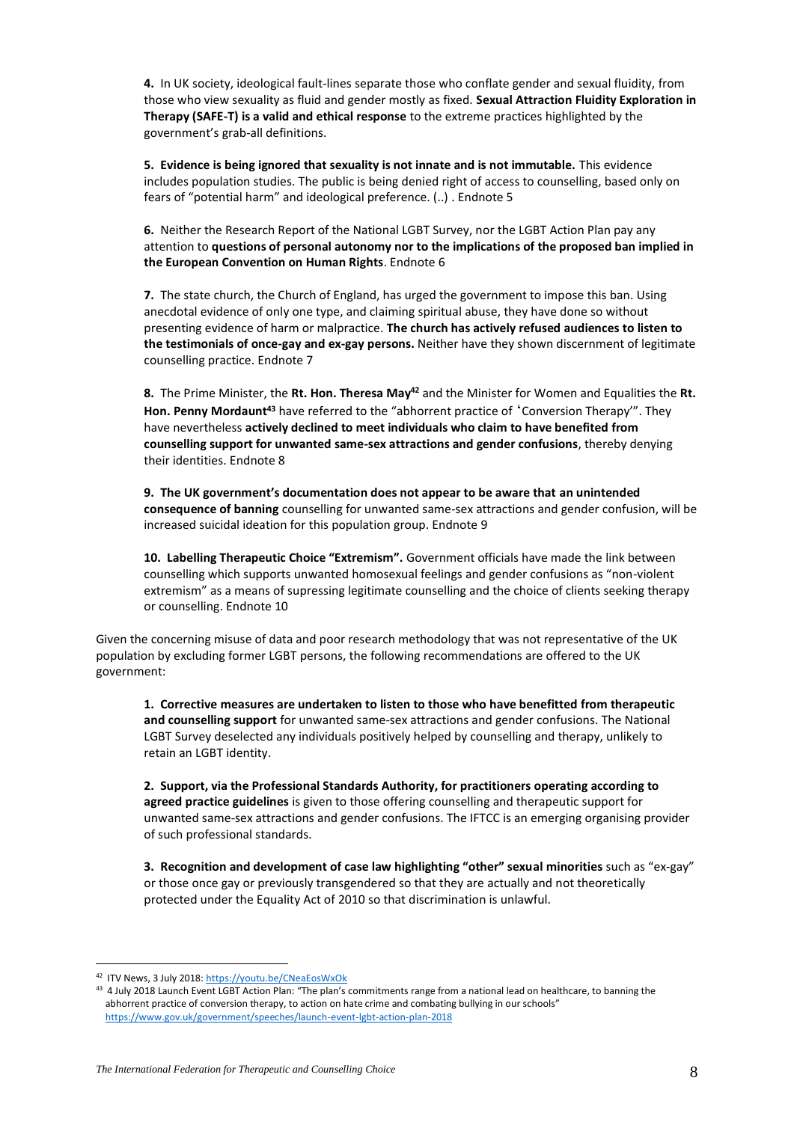**4.** In UK society, ideological fault-lines separate those who conflate gender and sexual fluidity, from those who view sexuality as fluid and gender mostly as fixed. **Sexual Attraction Fluidity Exploration in Therapy (SAFE-T) is a valid and ethical response** to the extreme practices highlighted by the government's grab-all definitions.

**5. Evidence is being ignored that sexuality is not innate and is not immutable.** This evidence includes population studies. The public is being denied right of access to counselling, based only on fears of "potential harm" and ideological preference. (..) . Endnote 5

**6.** Neither the Research Report of the National LGBT Survey, nor the LGBT Action Plan pay any attention to **questions of personal autonomy nor to the implications of the proposed ban implied in the European Convention on Human Rights**. Endnote 6

**7.** The state church, the Church of England, has urged the government to impose this ban. Using anecdotal evidence of only one type, and claiming spiritual abuse, they have done so without presenting evidence of harm or malpractice. **The church has actively refused audiences to listen to the testimonials of once-gay and ex-gay persons.** Neither have they shown discernment of legitimate counselling practice. Endnote 7

**8.** The Prime Minister, the **Rt. Hon. Theresa May<sup>42</sup>** and the Minister for Women and Equalities the **Rt. Hon. Penny Mordaunt<sup>43</sup>** have referred to the "abhorrent practice of 'Conversion Therapy'". They have nevertheless **actively declined to meet individuals who claim to have benefited from counselling support for unwanted same-sex attractions and gender confusions**, thereby denying their identities. Endnote 8

**9. The UK government's documentation does not appear to be aware that an unintended consequence of banning** counselling for unwanted same-sex attractions and gender confusion, will be increased suicidal ideation for this population group. Endnote 9

**10. Labelling Therapeutic Choice "Extremism".** Government officials have made the link between counselling which supports unwanted homosexual feelings and gender confusions as "non-violent extremism" as a means of supressing legitimate counselling and the choice of clients seeking therapy or counselling. Endnote 10

Given the concerning misuse of data and poor research methodology that was not representative of the UK population by excluding former LGBT persons, the following recommendations are offered to the UK government:

**1. Corrective measures are undertaken to listen to those who have benefitted from therapeutic and counselling support** for unwanted same-sex attractions and gender confusions. The National LGBT Survey deselected any individuals positively helped by counselling and therapy, unlikely to retain an LGBT identity.

**2. Support, via the Professional Standards Authority, for practitioners operating according to agreed practice guidelines** is given to those offering counselling and therapeutic support for unwanted same-sex attractions and gender confusions. The IFTCC is an emerging organising provider of such professional standards.

**3. Recognition and development of case law highlighting "other" sexual minorities** such as "ex-gay" or those once gay or previously transgendered so that they are actually and not theoretically protected under the Equality Act of 2010 so that discrimination is unlawful.

<sup>42</sup> ITV News, 3 July 2018: [https://youtu.be/CNeaEosWxOk](4%20July,%202018%20Launch%20Event%20LGBT%20Action%20Plan:%20)

<sup>43 4</sup> July 2018 Launch Event LGBT Action Plan: "The plan's commitments range from a national lead on healthcare, to banning the abhorrent practice of conversion therapy, to action on hate crime and combating bullying in our schools" <https://www.gov.uk/government/speeches/launch-event-lgbt-action-plan-2018>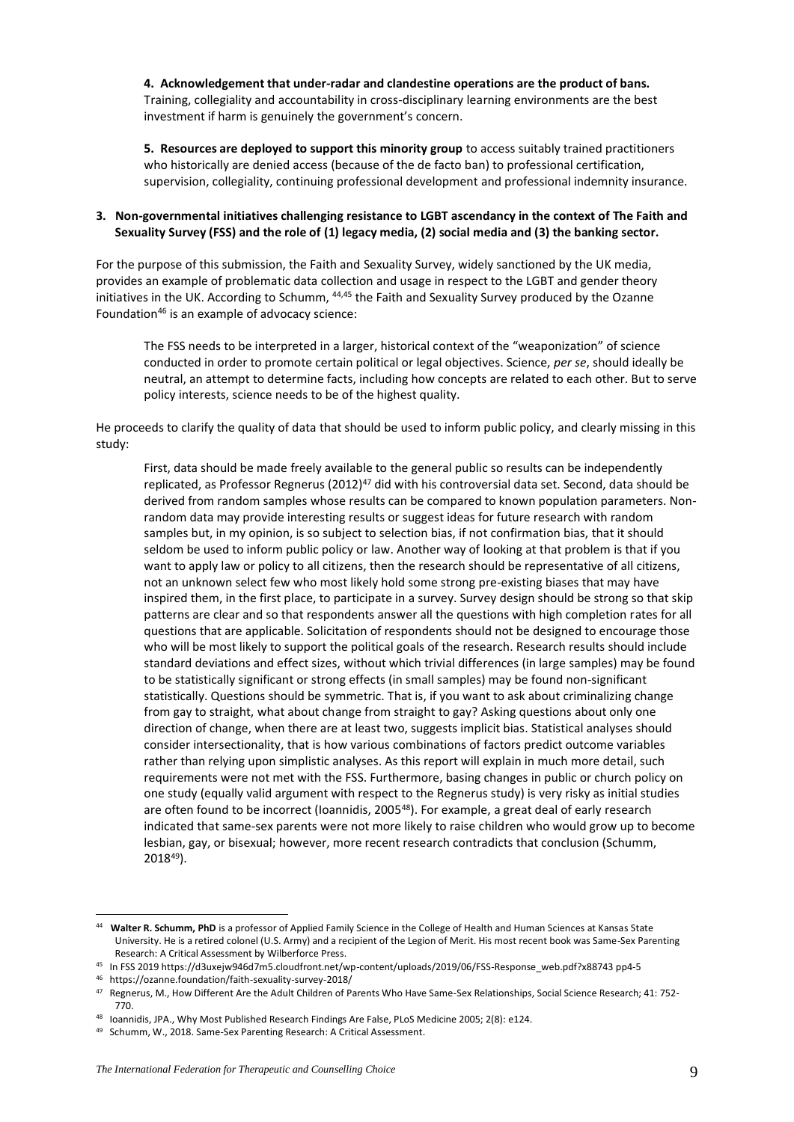**4. Acknowledgement that under-radar and clandestine operations are the product of bans.** Training, collegiality and accountability in cross-disciplinary learning environments are the best investment if harm is genuinely the government's concern.

**5. Resources are deployed to support this minority group** to access suitably trained practitioners who historically are denied access (because of the de facto ban) to professional certification, supervision, collegiality, continuing professional development and professional indemnity insurance.

# **3. Non-governmental initiatives challenging resistance to LGBT ascendancy in the context of The Faith and Sexuality Survey (FSS) and the role of (1) legacy media, (2) social media and (3) the banking sector.**

For the purpose of this submission, the Faith and Sexuality Survey, widely sanctioned by the UK media, provides an example of problematic data collection and usage in respect to the LGBT and gender theory initiatives in the UK. According to Schumm, <sup>44,45</sup> the Faith and Sexuality Survey produced by the Ozanne Foundation<sup>46</sup> is an example of advocacy science:

The FSS needs to be interpreted in a larger, historical context of the "weaponization" of science conducted in order to promote certain political or legal objectives. Science, *per se*, should ideally be neutral, an attempt to determine facts, including how concepts are related to each other. But to serve policy interests, science needs to be of the highest quality.

He proceeds to clarify the quality of data that should be used to inform public policy, and clearly missing in this study:

First, data should be made freely available to the general public so results can be independently replicated, as Professor Regnerus (2012)<sup>47</sup> did with his controversial data set. Second, data should be derived from random samples whose results can be compared to known population parameters. Nonrandom data may provide interesting results or suggest ideas for future research with random samples but, in my opinion, is so subject to selection bias, if not confirmation bias, that it should seldom be used to inform public policy or law. Another way of looking at that problem is that if you want to apply law or policy to all citizens, then the research should be representative of all citizens, not an unknown select few who most likely hold some strong pre-existing biases that may have inspired them, in the first place, to participate in a survey. Survey design should be strong so that skip patterns are clear and so that respondents answer all the questions with high completion rates for all questions that are applicable. Solicitation of respondents should not be designed to encourage those who will be most likely to support the political goals of the research. Research results should include standard deviations and effect sizes, without which trivial differences (in large samples) may be found to be statistically significant or strong effects (in small samples) may be found non-significant statistically. Questions should be symmetric. That is, if you want to ask about criminalizing change from gay to straight, what about change from straight to gay? Asking questions about only one direction of change, when there are at least two, suggests implicit bias. Statistical analyses should consider intersectionality, that is how various combinations of factors predict outcome variables rather than relying upon simplistic analyses. As this report will explain in much more detail, such requirements were not met with the FSS. Furthermore, basing changes in public or church policy on one study (equally valid argument with respect to the Regnerus study) is very risky as initial studies are often found to be incorrect (Ioannidis, 2005<sup>48</sup>). For example, a great deal of early research indicated that same-sex parents were not more likely to raise children who would grow up to become lesbian, gay, or bisexual; however, more recent research contradicts that conclusion (Schumm, 2018<sup>49</sup>).

<sup>44</sup> **Walter R. Schumm, PhD** is a professor of Applied Family Science in the College of Health and Human Sciences at Kansas State University. He is a retired colonel (U.S. Army) and a recipient of the Legion of Merit. His most recent book was Same-Sex Parenting Research: A Critical Assessment by Wilberforce Press.

<sup>45</sup> In FSS 201[9 https://d3uxejw946d7m5.cloudfront.net/wp-content/uploads/2019/06/FSS-Response\\_web.pdf?x88743](https://d3uxejw946d7m5.cloudfront.net/wp-content/uploads/2019/06/FSS-Response_web.pdf?x88743) pp4-5

<sup>46</sup> https://ozanne.foundation/faith-sexuality-survey-2018/

<sup>47</sup> Regnerus, M., How Different Are the Adult Children of Parents Who Have Same-Sex Relationships, Social Science Research; 41: 752- 770.

<sup>48</sup> Ioannidis, JPA., Why Most Published Research Findings Are False, PLoS Medicine 2005; 2(8): e124.

<sup>49</sup> Schumm, W., 2018. Same-Sex Parenting Research: A Critical Assessment.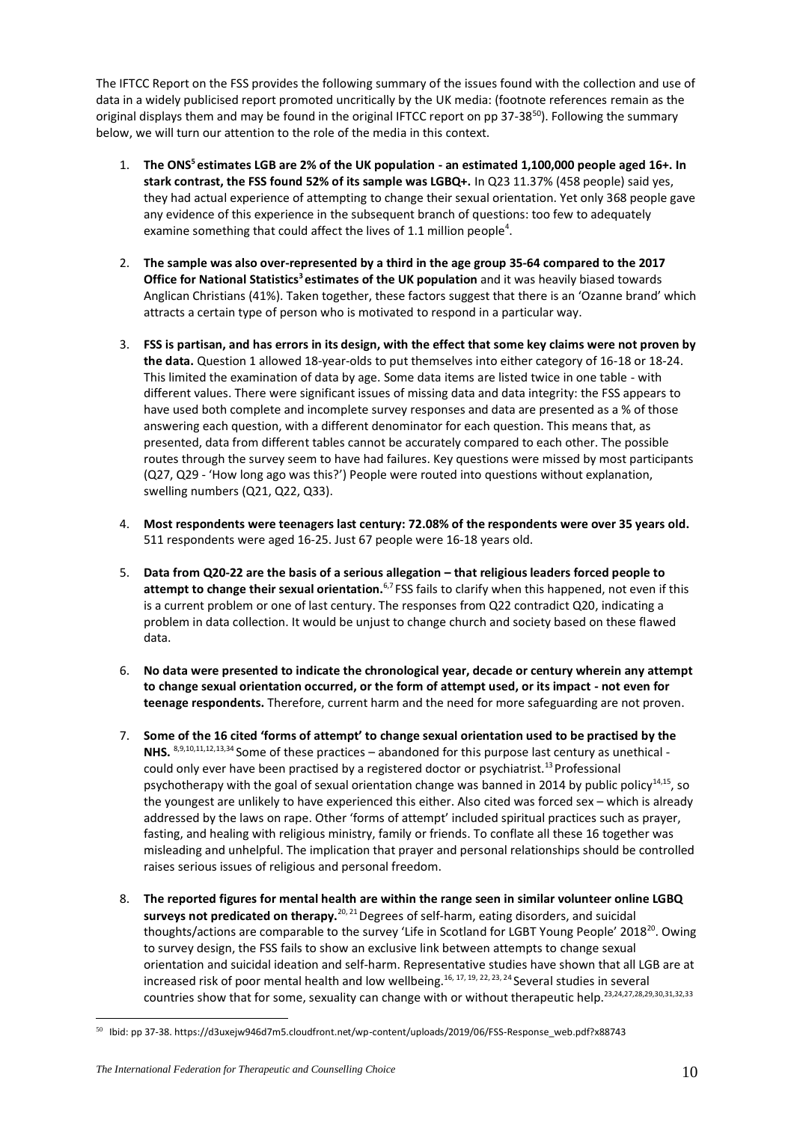The IFTCC Report on the FSS provides the following summary of the issues found with the collection and use of data in a widely publicised report promoted uncritically by the UK media: (footnote references remain as the original displays them and may be found in the original IFTCC report on pp 37-38<sup>50</sup>). Following the summary below, we will turn our attention to the role of the media in this context.

- 1. **The ONS<sup>5</sup>estimates LGB are 2% of the UK population - an estimated 1,100,000 people aged 16+. In stark contrast, the FSS found 52% of its sample was LGBQ+.** In Q23 11.37% (458 people) said yes, they had actual experience of attempting to change their sexual orientation. Yet only 368 people gave any evidence of this experience in the subsequent branch of questions: too few to adequately examine something that could affect the lives of 1.1 million people<sup>4</sup>.
- 2. **The sample was also over-represented by a third in the age group 35-64 compared to the 2017 Office for National Statistics<sup>3</sup>estimates of the UK population** and it was heavily biased towards Anglican Christians (41%). Taken together, these factors suggest that there is an 'Ozanne brand' which attracts a certain type of person who is motivated to respond in a particular way.
- 3. **FSS is partisan, and has errors in its design, with the effect that some key claims were not proven by the data.** Question 1 allowed 18-year-olds to put themselves into either category of 16-18 or 18-24. This limited the examination of data by age. Some data items are listed twice in one table - with different values. There were significant issues of missing data and data integrity: the FSS appears to have used both complete and incomplete survey responses and data are presented as a % of those answering each question, with a different denominator for each question. This means that, as presented, data from different tables cannot be accurately compared to each other. The possible routes through the survey seem to have had failures. Key questions were missed by most participants (Q27, Q29 - 'How long ago was this?') People were routed into questions without explanation, swelling numbers (Q21, Q22, Q33).
- 4. **Most respondents were teenagers last century: 72.08% of the respondents were over 35 years old.**  511 respondents were aged 16-25. Just 67 people were 16-18 years old.
- 5. **Data from Q20-22 are the basis of a serious allegation – that religious leaders forced people to**  attempt to change their sexual orientation.<sup>6,7</sup> FSS fails to clarify when this happened, not even if this is a current problem or one of last century. The responses from Q22 contradict Q20, indicating a problem in data collection. It would be unjust to change church and society based on these flawed data.
- 6. **No data were presented to indicate the chronological year, decade or century wherein any attempt to change sexual orientation occurred, or the form of attempt used, or its impact - not even for teenage respondents.** Therefore, current harm and the need for more safeguarding are not proven.
- 7. **Some of the 16 cited 'forms of attempt' to change sexual orientation used to be practised by the NHS.** 8,9,10,11,12,13,34 Some of these practices – abandoned for this purpose last century as unethical could only ever have been practised by a registered doctor or psychiatrist.<sup>13</sup> Professional psychotherapy with the goal of sexual orientation change was banned in 2014 by public policy<sup>14,15</sup>, so the youngest are unlikely to have experienced this either. Also cited was forced sex – which is already addressed by the laws on rape. Other 'forms of attempt' included spiritual practices such as prayer, fasting, and healing with religious ministry, family or friends. To conflate all these 16 together was misleading and unhelpful. The implication that prayer and personal relationships should be controlled raises serious issues of religious and personal freedom.
- 8. **The reported figures for mental health are within the range seen in similar volunteer online LGBQ surveys not predicated on therapy.**20, 21 Degrees of self-harm, eating disorders, and suicidal thoughts/actions are comparable to the survey 'Life in Scotland for LGBT Young People' 2018<sup>20</sup>. Owing to survey design, the FSS fails to show an exclusive link between attempts to change sexual orientation and suicidal ideation and self-harm. Representative studies have shown that all LGB are at increased risk of poor mental health and low wellbeing.<sup>16, 17, 19, 22, 23, 24</sup> Several studies in several countries show that for some, sexuality can change with or without therapeutic help.23,24,27,28,29,30,31,32,33

<sup>50</sup> Ibid: pp 37-38. https://d3uxejw946d7m5.cloudfront.net/wp-content/uploads/2019/06/FSS-Response\_web.pdf?x88743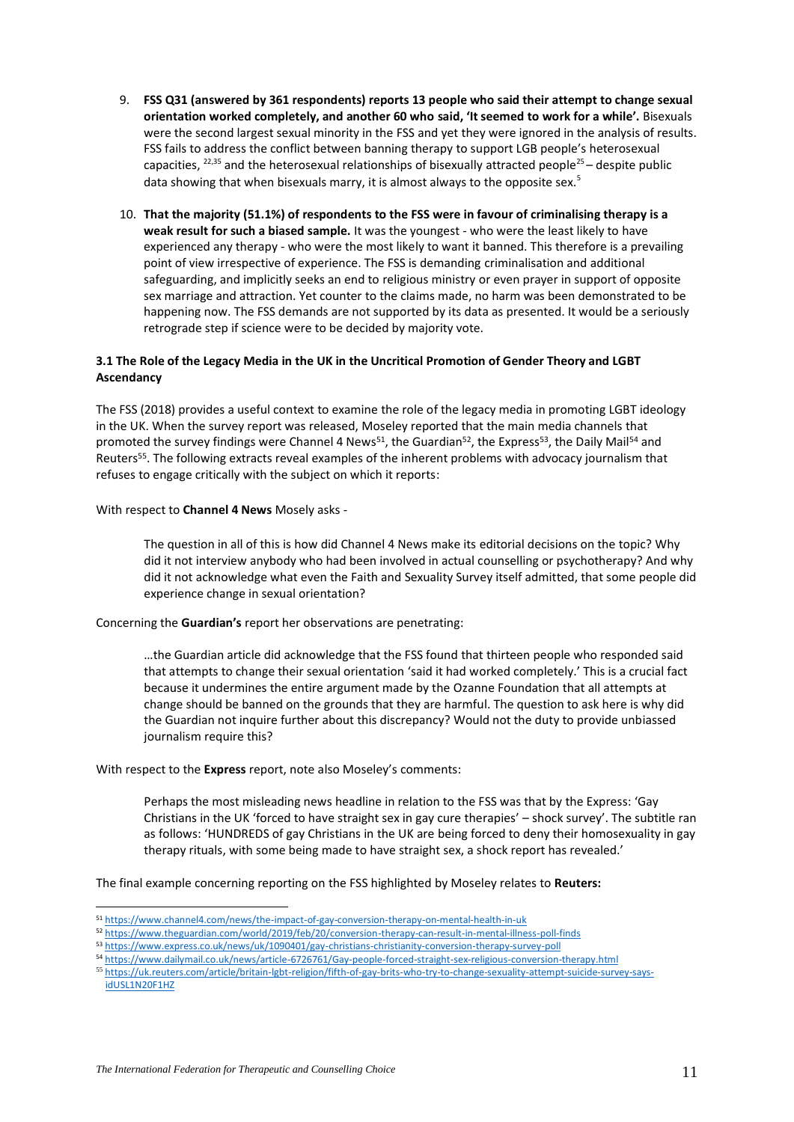- 9. **FSS Q31 (answered by 361 respondents) reports 13 people who said their attempt to change sexual orientation worked completely, and another 60 who said, 'It seemed to work for a while'.** Bisexuals were the second largest sexual minority in the FSS and yet they were ignored in the analysis of results. FSS fails to address the conflict between banning therapy to support LGB people's heterosexual capacities, <sup>22,35</sup> and the heterosexual relationships of bisexually attracted people<sup>25</sup> – despite public data showing that when bisexuals marry, it is almost always to the opposite sex.<sup>5</sup>
- 10. **That the majority (51.1%) of respondents to the FSS were in favour of criminalising therapy is a weak result for such a biased sample.** It was the youngest - who were the least likely to have experienced any therapy - who were the most likely to want it banned. This therefore is a prevailing point of view irrespective of experience. The FSS is demanding criminalisation and additional safeguarding, and implicitly seeks an end to religious ministry or even prayer in support of opposite sex marriage and attraction. Yet counter to the claims made, no harm was been demonstrated to be happening now. The FSS demands are not supported by its data as presented. It would be a seriously retrograde step if science were to be decided by majority vote.

# **3.1 The Role of the Legacy Media in the UK in the Uncritical Promotion of Gender Theory and LGBT Ascendancy**

The FSS (2018) provides a useful context to examine the role of the legacy media in promoting LGBT ideology in the UK. When the survey report was released, Moseley reported that the main media channels that promoted the survey findings were Channel 4 News<sup>51</sup>, the Guardian<sup>52</sup>, the Express<sup>53</sup>, the Daily Mail<sup>54</sup> and Reuters<sup>55</sup>. The following extracts reveal examples of the inherent problems with advocacy journalism that refuses to engage critically with the subject on which it reports:

# With respect to **Channel 4 News** Mosely asks -

The question in all of this is how did Channel 4 News make its editorial decisions on the topic? Why did it not interview anybody who had been involved in actual counselling or psychotherapy? And why did it not acknowledge what even the Faith and Sexuality Survey itself admitted, that some people did experience change in sexual orientation?

# Concerning the **Guardian's** report her observations are penetrating:

…the Guardian article did acknowledge that the FSS found that thirteen people who responded said that attempts to change their sexual orientation 'said it had worked completely.' This is a crucial fact because it undermines the entire argument made by the Ozanne Foundation that all attempts at change should be banned on the grounds that they are harmful. The question to ask here is why did the Guardian not inquire further about this discrepancy? Would not the duty to provide unbiassed journalism require this?

# With respect to the **Express** report, note also Moseley's comments:

Perhaps the most misleading news headline in relation to the FSS was that by the Express: 'Gay Christians in the UK 'forced to have straight sex in gay cure therapies' – shock survey'. The subtitle ran as follows: 'HUNDREDS of gay Christians in the UK are being forced to deny their homosexuality in gay therapy rituals, with some being made to have straight sex, a shock report has revealed.'

The final example concerning reporting on the FSS highlighted by Moseley relates to **Reuters:**

<sup>51</sup> <https://www.channel4.com/news/the-impact-of-gay-conversion-therapy-on-mental-health-in-uk>

<sup>52</sup> <https://www.theguardian.com/world/2019/feb/20/conversion-therapy-can-result-in-mental-illness-poll-finds>

<sup>53</sup> <https://www.express.co.uk/news/uk/1090401/gay-christians-christianity-conversion-therapy-survey-poll>

<sup>54</sup> <https://www.dailymail.co.uk/news/article-6726761/Gay-people-forced-straight-sex-religious-conversion-therapy.html>

<sup>55</sup> [https://uk.reuters.com/article/britain-lgbt-religion/fifth-of-gay-brits-who-try-to-change-sexuality-attempt-suicide-survey-says](https://uk.reuters.com/article/britain-lgbt-religion/fifth-of-gay-brits-who-try-to-change-sexuality-attempt-suicide-survey-says-%20idUSL1N20F1HZ)[idUSL1N20F1HZ](https://uk.reuters.com/article/britain-lgbt-religion/fifth-of-gay-brits-who-try-to-change-sexuality-attempt-suicide-survey-says-%20idUSL1N20F1HZ)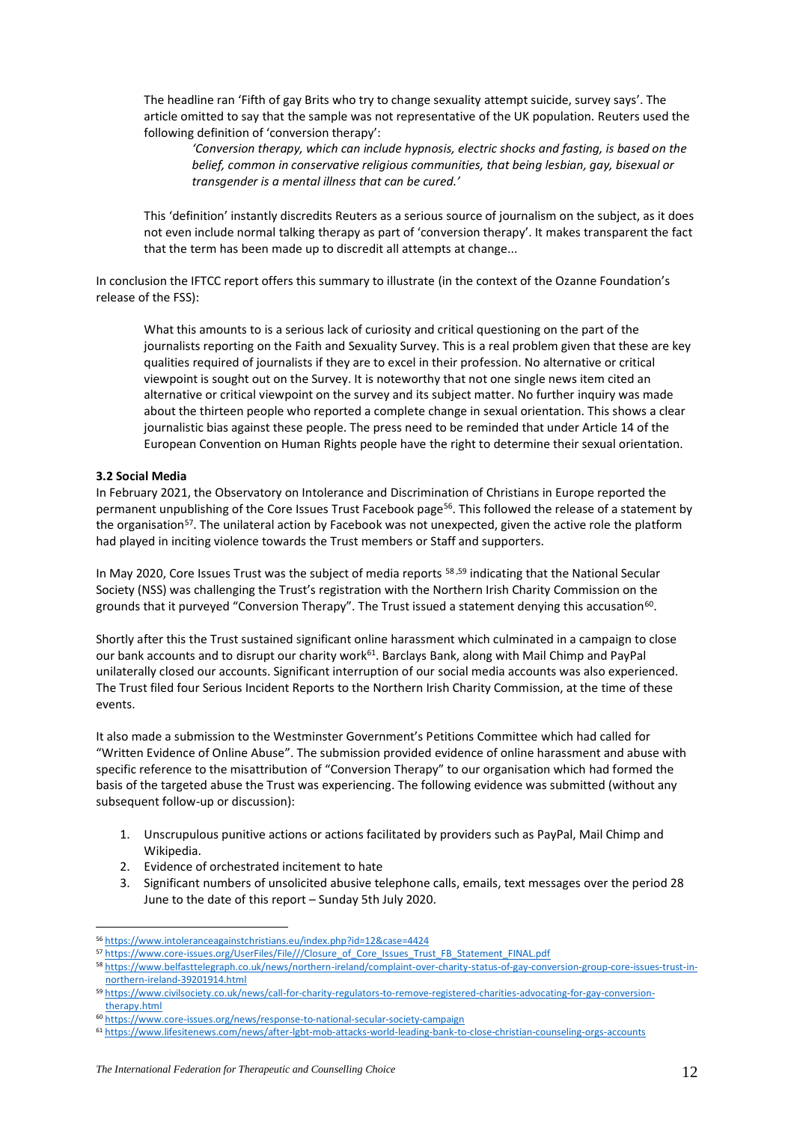The headline ran 'Fifth of gay Brits who try to change sexuality attempt suicide, survey says'. The article omitted to say that the sample was not representative of the UK population. Reuters used the following definition of 'conversion therapy':

*'Conversion therapy, which can include hypnosis, electric shocks and fasting, is based on the belief, common in conservative religious communities, that being lesbian, gay, bisexual or transgender is a mental illness that can be cured.'* 

This 'definition' instantly discredits Reuters as a serious source of journalism on the subject, as it does not even include normal talking therapy as part of 'conversion therapy'. It makes transparent the fact that the term has been made up to discredit all attempts at change...

In conclusion the IFTCC report offers this summary to illustrate (in the context of the Ozanne Foundation's release of the FSS):

What this amounts to is a serious lack of curiosity and critical questioning on the part of the journalists reporting on the Faith and Sexuality Survey. This is a real problem given that these are key qualities required of journalists if they are to excel in their profession. No alternative or critical viewpoint is sought out on the Survey. It is noteworthy that not one single news item cited an alternative or critical viewpoint on the survey and its subject matter. No further inquiry was made about the thirteen people who reported a complete change in sexual orientation. This shows a clear journalistic bias against these people. The press need to be reminded that under Article 14 of the European Convention on Human Rights people have the right to determine their sexual orientation.

# **3.2 Social Media**

In February 2021, the Observatory on Intolerance and Discrimination of Christians in Europe reported the permanent unpublishing of the Core Issues Trust Facebook page<sup>56</sup>. This followed the release of a statement by the organisation<sup>57</sup>. The unilateral action by Facebook was not unexpected, given the active role the platform had played in inciting violence towards the Trust members or Staff and supporters.

In May 2020, Core Issues Trust was the subject of media reports <sup>58,59</sup> indicating that the National Secular Society (NSS) was challenging the Trust's registration with the Northern Irish Charity Commission on the grounds that it purveyed "Conversion Therapy". The Trust issued a statement denying this accusation<sup>60</sup>.

Shortly after this the Trust sustained significant online harassment which culminated in a campaign to close our bank accounts and to disrupt our charity work<sup>61</sup>. Barclays Bank, along with Mail Chimp and PayPal unilaterally closed our accounts. Significant interruption of our social media accounts was also experienced. The Trust filed four Serious Incident Reports to the Northern Irish Charity Commission, at the time of these events.

It also made a submission to the Westminster Government's Petitions Committee which had called for "Written Evidence of Online Abuse". The submission provided evidence of online harassment and abuse with specific reference to the misattribution of "Conversion Therapy" to our organisation which had formed the basis of the targeted abuse the Trust was experiencing. The following evidence was submitted (without any subsequent follow-up or discussion):

- 1. Unscrupulous punitive actions or actions facilitated by providers such as PayPal, Mail Chimp and Wikipedia.
- 2. Evidence of orchestrated incitement to hate
- 3. Significant numbers of unsolicited abusive telephone calls, emails, text messages over the period 28 June to the date of this report – Sunday 5th July 2020.

<sup>56</sup> <https://www.intoleranceagainstchristians.eu/index.php?id=12&case=4424>

<sup>57</sup> [https://www.core-issues.org/UserFiles/File///Closure\\_of\\_Core\\_Issues\\_Trust\\_FB\\_Statement\\_FINAL.pdf](https://www.core-issues.org/UserFiles/File/Closure_of_Core_Issues_Trust_FB_Statement_FINAL.pdf)

<sup>58</sup> [https://www.belfasttelegraph.co.uk/news/northern-ireland/complaint-over-charity-status-of-gay-conversion-group-core-issues-trust-in](https://www.belfasttelegraph.co.uk/news/northern-ireland/complaint-over-charity-status-of-gay-conversion-group-core-issues-trust-in-northern-ireland-39201914.html)[northern-ireland-39201914.html](https://www.belfasttelegraph.co.uk/news/northern-ireland/complaint-over-charity-status-of-gay-conversion-group-core-issues-trust-in-northern-ireland-39201914.html)

<sup>59</sup> [https://www.civilsociety.co.uk/news/call-for-charity-regulators-to-remove-registered-charities-advocating-for-gay-conversion](https://www.civilsociety.co.uk/news/call-for-charity-regulators-to-remove-registered-charities-advocating-for-gay-conversion-therapy.html)[therapy.html](https://www.civilsociety.co.uk/news/call-for-charity-regulators-to-remove-registered-charities-advocating-for-gay-conversion-therapy.html)

<sup>60</sup> <https://www.core-issues.org/news/response-to-national-secular-society-campaign>

<sup>61</sup> <https://www.lifesitenews.com/news/after-lgbt-mob-attacks-world-leading-bank-to-close-christian-counseling-orgs-accounts>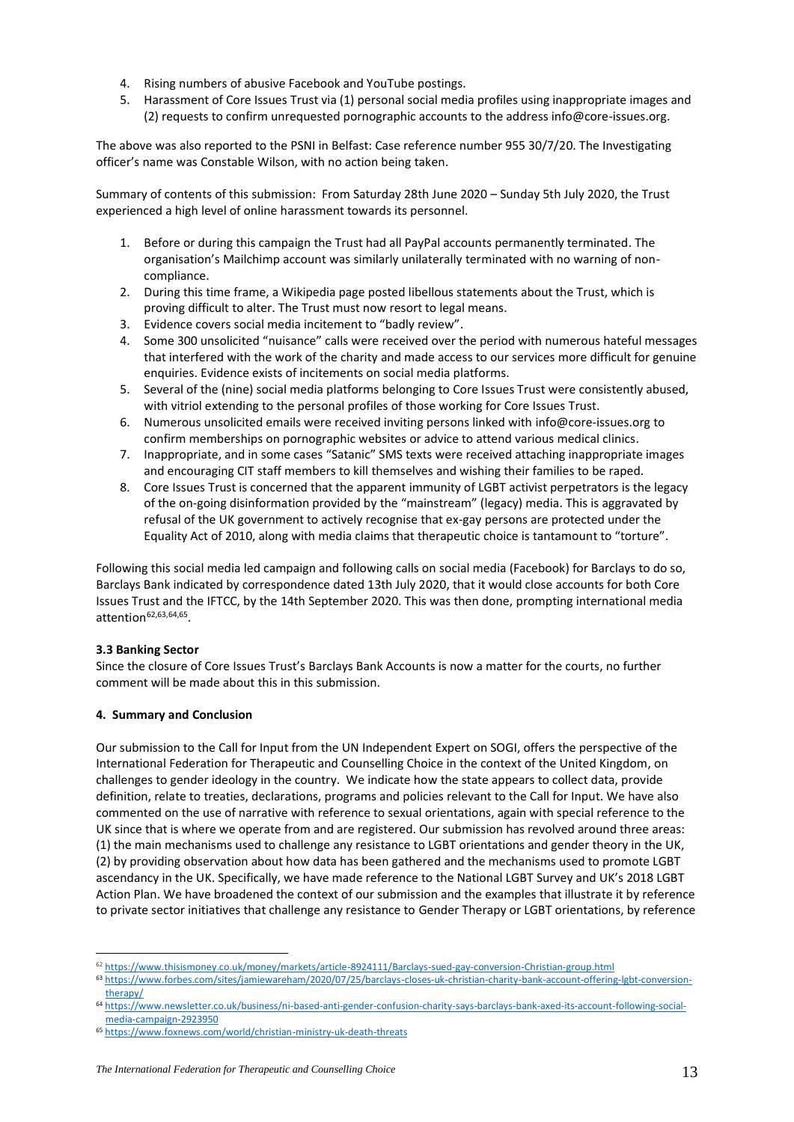- 4. Rising numbers of abusive Facebook and YouTube postings.
- 5. Harassment of Core Issues Trust via (1) personal social media profiles using inappropriate images and (2) requests to confirm unrequested pornographic accounts to the address info@core-issues.org.

The above was also reported to the PSNI in Belfast: Case reference number 955 30/7/20. The Investigating officer's name was Constable Wilson, with no action being taken.

Summary of contents of this submission: From Saturday 28th June 2020 – Sunday 5th July 2020, the Trust experienced a high level of online harassment towards its personnel.

- 1. Before or during this campaign the Trust had all PayPal accounts permanently terminated. The organisation's Mailchimp account was similarly unilaterally terminated with no warning of noncompliance.
- 2. During this time frame, a Wikipedia page posted libellous statements about the Trust, which is proving difficult to alter. The Trust must now resort to legal means.
- 3. Evidence covers social media incitement to "badly review".
- 4. Some 300 unsolicited "nuisance" calls were received over the period with numerous hateful messages that interfered with the work of the charity and made access to our services more difficult for genuine enquiries. Evidence exists of incitements on social media platforms.
- 5. Several of the (nine) social media platforms belonging to Core Issues Trust were consistently abused, with vitriol extending to the personal profiles of those working for Core Issues Trust.
- 6. Numerous unsolicited emails were received inviting persons linked wit[h info@core-issues.org](mailto:info@core-issues.org) to confirm memberships on pornographic websites or advice to attend various medical clinics.
- 7. Inappropriate, and in some cases "Satanic" SMS texts were received attaching inappropriate images and encouraging CIT staff members to kill themselves and wishing their families to be raped.
- 8. Core Issues Trust is concerned that the apparent immunity of LGBT activist perpetrators is the legacy of the on-going disinformation provided by the "mainstream" (legacy) media. This is aggravated by refusal of the UK government to actively recognise that ex-gay persons are protected under the Equality Act of 2010, along with media claims that therapeutic choice is tantamount to "torture".

Following this social media led campaign and following calls on social media (Facebook) for Barclays to do so, Barclays Bank indicated by correspondence dated 13th July 2020, that it would close accounts for both Core Issues Trust and the IFTCC, by the 14th September 2020. This was then done, prompting international media attention<sup>62,63,64,65</sup>.

# **3.3 Banking Sector**

Since the closure of Core Issues Trust's Barclays Bank Accounts is now a matter for the courts, no further comment will be made about this in this submission.

# **4. Summary and Conclusion**

Our submission to the Call for Input from the UN Independent Expert on SOGI, offers the perspective of the International Federation for Therapeutic and Counselling Choice in the context of the United Kingdom, on challenges to gender ideology in the country. We indicate how the state appears to collect data, provide definition, relate to treaties, declarations, programs and policies relevant to the Call for Input. We have also commented on the use of narrative with reference to sexual orientations, again with special reference to the UK since that is where we operate from and are registered. Our submission has revolved around three areas: (1) the main mechanisms used to challenge any resistance to LGBT orientations and gender theory in the UK, (2) by providing observation about how data has been gathered and the mechanisms used to promote LGBT ascendancy in the UK. Specifically, we have made reference to the National LGBT Survey and UK's 2018 LGBT Action Plan. We have broadened the context of our submission and the examples that illustrate it by reference to private sector initiatives that challenge any resistance to Gender Therapy or LGBT orientations, by reference

<sup>62</sup> <https://www.thisismoney.co.uk/money/markets/article-8924111/Barclays-sued-gay-conversion-Christian-group.html>

<sup>63</sup> [https://www.forbes.com/sites/jamiewareham/2020/07/25/barclays-closes-uk-christian-charity-bank-account-offering-lgbt-conversion](https://www.forbes.com/sites/jamiewareham/2020/07/25/barclays-closes-uk-christian-charity-bank-account-offering-lgbt-conversion-therapy/)[therapy/](https://www.forbes.com/sites/jamiewareham/2020/07/25/barclays-closes-uk-christian-charity-bank-account-offering-lgbt-conversion-therapy/)

<sup>64</sup> [https://www.newsletter.co.uk/business/ni-based-anti-gender-confusion-charity-says-barclays-bank-axed-its-account-following-social](https://www.newsletter.co.uk/business/ni-based-anti-gender-confusion-charity-says-barclays-bank-axed-its-account-following-social-media-campaign-2923950)[media-campaign-2923950](https://www.newsletter.co.uk/business/ni-based-anti-gender-confusion-charity-says-barclays-bank-axed-its-account-following-social-media-campaign-2923950)

<sup>65</sup> <https://www.foxnews.com/world/christian-ministry-uk-death-threats>